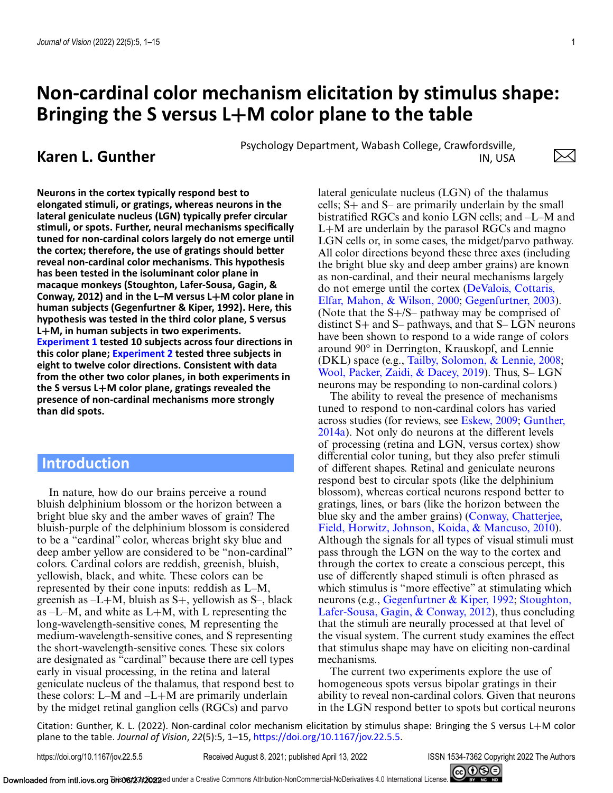# **Non-cardinal color mechanism elicitation by stimulus shape: Bringing the S versus L+M color plane to the table**

**Karen L. Gunther** Psychology Department, Wabash College, Crawfordsville,<br>IN. USA IN, USA

**Neurons in the cortex typically respond best to elongated stimuli, or gratings, whereas neurons in the lateral geniculate nucleus (LGN) typically prefer circular stimuli, or spots. Further, neural mechanisms specifically tuned for non-cardinal colors largely do not emerge until the cortex; therefore, the use of gratings should better reveal non-cardinal color mechanisms. This hypothesis has been tested in the isoluminant color plane in macaque monkeys (Stoughton, Lafer-Sousa, Gagin, & Conway, 2012) and in the L–M versus L+M color plane in human subjects (Gegenfurtner & Kiper, 1992). Here, this hypothesis was tested in the third color plane, S versus L+M, in human subjects in two experiments. [Experiment 1](#page-3-0) tested 10 subjects across four directions in this color plane; [Experiment 2](#page-5-0) tested three subjects in eight to twelve color directions. Consistent with data from the other two color planes, in both experiments in the S versus L+M color plane, gratings revealed the presence of non-cardinal mechanisms more strongly than did spots.**

# **Introduction**

In nature, how do our brains perceive a round bluish delphinium blossom or the horizon between a bright blue sky and the amber waves of grain? The bluish-purple of the delphinium blossom is considered to be a "cardinal" color, whereas bright sky blue and deep amber yellow are considered to be "non-cardinal" colors. Cardinal colors are reddish, greenish, bluish, yellowish, black, and white. These colors can be represented by their cone inputs: reddish as L–M, greenish as  $-L+M$ , bluish as  $S+$ , yellowish as  $S-$ , black as  $-L-M$ , and white as  $L+M$ , with L representing the long-wavelength-sensitive cones, M representing the medium-wavelength-sensitive cones, and S representing the short-wavelength-sensitive cones. These six colors are designated as "cardinal" because there are cell types early in visual processing, in the retina and lateral geniculate nucleus of the thalamus, that respond best to these colors: L–M and –L+M are primarily underlain by the midget retinal ganglion cells (RGCs) and parvo

lateral geniculate nucleus (LGN) of the thalamus cells; S+ and S– are primarily underlain by the small bistratified RGCs and konio LGN cells; and –L–M and  $L+M$  are underlain by the parasol RGCs and magno LGN cells or, in some cases, the midget/parvo pathway. All color directions beyond these three axes (including the bright blue sky and deep amber grains) are known as non-cardinal, and their neural mechanisms largely [do not emerge until the cortex \(DeValois, Cottaris,](#page-9-0) Elfar, Mahon, & Wilson, 2000; [Gegenfurtner, 2003\)](#page-10-0). (Note that the S+/S– pathway may be comprised of distinct  $S+$  and  $S-$  pathways, and that  $S-$  LGN neurons have been shown to respond to a wide range of colors around 90° in Derrington, Krauskopf, and Lennie (DKL) space (e.g., [Tailby, Solomon, & Lennie, 2008;](#page-10-0) [Wool, Packer, Zaidi, & Dacey, 2019\)](#page-11-0). Thus, S– LGN neurons may be responding to non-cardinal colors.)

The ability to reveal the presence of mechanisms tuned to respond to non-cardinal colors has varied across studies (for reviews, see [Eskew, 2009;](#page-9-0) Gunther, [2014a\). Not only do neurons at the different levels](#page-10-0) of processing (retina and LGN, versus cortex) show differential color tuning, but they also prefer stimuli of different shapes. Retinal and geniculate neurons respond best to circular spots (like the delphinium blossom), whereas cortical neurons respond better to gratings, lines, or bars (like the horizon between the [blue sky and the amber grains\) \(Conway, Chatterjee,](#page-9-0) Field, Horwitz, Johnson, Koida, & Mancuso, 2010). Although the signals for all types of visual stimuli must pass through the LGN on the way to the cortex and through the cortex to create a conscious percept, this use of differently shaped stimuli is often phrased as which stimulus is "more effective" at stimulating which neurons (e.g., [Gegenfurtner & Kiper, 1992;](#page-10-0) Stoughton, [Lafer-Sousa, Gagin, & Conway, 2012\), thus concluding](#page-10-0) that the stimuli are neurally processed at that level of the visual system. The current study examines the effect that stimulus shape may have on eliciting non-cardinal mechanisms.

The current two experiments explore the use of homogeneous spots versus bipolar gratings in their ability to reveal non-cardinal colors. Given that neurons in the LGN respond better to spots but cortical neurons

Citation: Gunther, K. L. (2022). Non-cardinal color mechanism elicitation by stimulus shape: Bringing the S versus L+M color plane to the table. *Journal of Vision*, *22*(5):5, 1–15, [https://doi.org/10.1167/jov.22.5.5.](https://doi.org/10.1167/jov.22.5.5)

https://doi.org/10.1167/jov.22.5.5 Received August 8, 2021; published April 13, 2022 ISSN 1534-7362 Copyright 2022 The Authors



 $\times$ l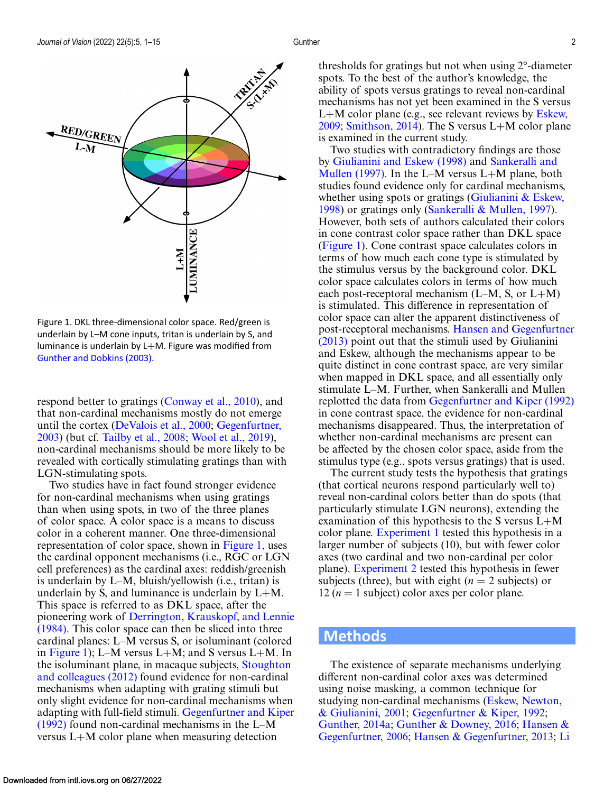<span id="page-1-0"></span>

Figure 1. DKL three-dimensional color space. Red/green is underlain by L–M cone inputs, tritan is underlain by S, and luminance is underlain by L+M. Figure was modified from [Gunther and Dobkins \(2003\).](#page-10-0)

respond better to gratings [\(Conway et al., 2010\)](#page-9-0), and that non-cardinal mechanisms mostly do not emerge [until the cortex \(](#page-10-0)[DeValois et al., 2000](#page-9-0)[;](#page-10-0) Gegenfurtner, 2003) (but cf. [Tailby et al., 2008;](#page-10-0) [Wool et al., 2019\)](#page-11-0), non-cardinal mechanisms should be more likely to be revealed with cortically stimulating gratings than with LGN-stimulating spots.

Two studies have in fact found stronger evidence for non-cardinal mechanisms when using gratings than when using spots, in two of the three planes of color space. A color space is a means to discuss color in a coherent manner. One three-dimensional representation of color space, shown in Figure 1, uses the cardinal opponent mechanisms (i.e., RGC or LGN cell preferences) as the cardinal axes: reddish/greenish is underlain by L–M, bluish/yellowish (i.e., tritan) is underlain by S, and luminance is underlain by  $L+M$ . This space is referred to as DKL space, after the pioneering work of Derrington, Krauskopf, and Lennie [\(1984\). This color space can then be sliced into three](#page-9-0) cardinal planes: L–M versus S, or isoluminant (colored in Figure 1); L–M versus L+M; and S versus L+M. In [the isoluminant plane, in macaque subjects,](#page-10-0) Stoughton and colleagues (2012) found evidence for non-cardinal mechanisms when adapting with grating stimuli but only slight evidence for non-cardinal mechanisms when adapting with full-field stimuli. Gegenfurtner and Kiper (1992) [found non-cardinal mechanisms in the L–M](#page-10-0) versus L+M color plane when measuring detection

thresholds for gratings but not when using 2°-diameter spots. To the best of the author's knowledge, the ability of spots versus gratings to reveal non-cardinal mechanisms has not yet been examined in the S versus L+[M color plane \(e.g., see relevant reviews by](#page-9-0) Eskew, 2009; [Smithson, 2014\)](#page-10-0). The S versus L+M color plane is examined in the current study.

Two studies with contradictory findings are those by [Giulianini and Eskew \(1998\)](#page-10-0) and Sankeralli and [Mullen \(1997\). In the L–M versus L](#page-10-0)+M plane, both studies found evidence only for cardinal mechanisms, whether using spots or gratings (Giulianini  $&$  Eskew, 1998) or gratings only [\(Sankeralli & Mullen, 1997\)](#page-10-0). However, both sets of authors calculated their colors in cone contrast color space rather than DKL space (Figure 1). Cone contrast space calculates colors in terms of how much each cone type is stimulated by the stimulus versus by the background color. DKL color space calculates colors in terms of how much each post-receptoral mechanism  $(L-M, S, \text{or } L+M)$ is stimulated. This difference in representation of color space can alter the apparent distinctiveness of post-receptoral mechanisms. Hansen and Gegenfurtner (2013) [point out that the stimuli used by Giulianini](#page-10-0) and Eskew, although the mechanisms appear to be quite distinct in cone contrast space, are very similar when mapped in DKL space, and all essentially only stimulate L–M. Further, when Sankeralli and Mullen replotted the data from [Gegenfurtner and Kiper \(1992\)](#page-10-0) in cone contrast space, the evidence for non-cardinal mechanisms disappeared. Thus, the interpretation of whether non-cardinal mechanisms are present can be affected by the chosen color space, aside from the stimulus type (e.g., spots versus gratings) that is used.

The current study tests the hypothesis that gratings (that cortical neurons respond particularly well to) reveal non-cardinal colors better than do spots (that particularly stimulate LGN neurons), extending the examination of this hypothesis to the S versus L+M color plane. [Experiment 1](#page-3-0) tested this hypothesis in a larger number of subjects (10), but with fewer color axes (two cardinal and two non-cardinal per color plane). [Experiment 2](#page-5-0) tested this hypothesis in fewer subjects (three), but with eight  $(n = 2$  subjects) or 12 ( $n = 1$  subject) color axes per color plane.

# **Methods**

The existence of separate mechanisms underlying different non-cardinal color axes was determined using noise masking, a common technique for [studying non-cardinal mechanisms \(Eskew, Newton,](#page-9-0) & Giulianini, 2001; [Gegenfurtner & Kiper, 1992;](#page-10-0) [Gunther, 2014a;](#page-10-0) [Gunther & Downey, 2016;](#page-10-0) Hansen & Gegenfurtner, 2006; [Hansen & Gegenfurtner, 2013;](#page-10-0) [Li](#page-10-0)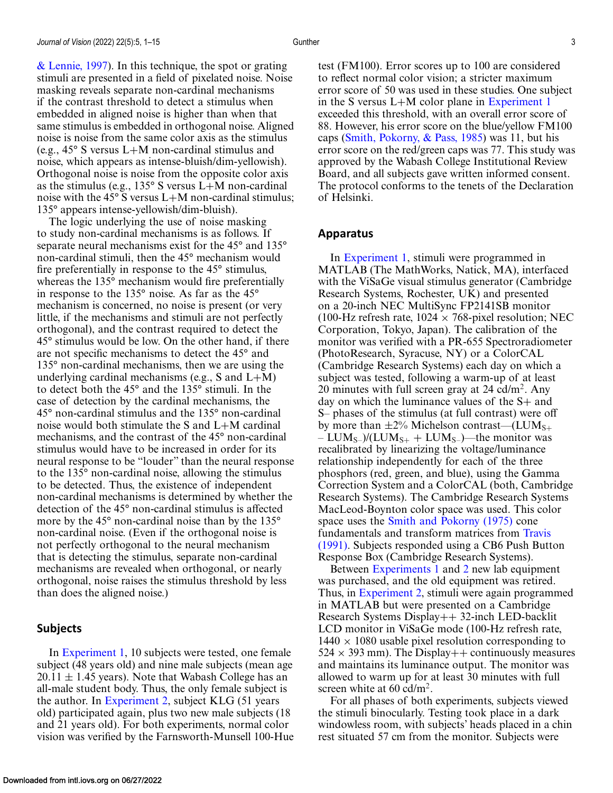[& Lennie, 1997\)](#page-10-0). In this technique, the spot or grating stimuli are presented in a field of pixelated noise. Noise masking reveals separate non-cardinal mechanisms if the contrast threshold to detect a stimulus when embedded in aligned noise is higher than when that same stimulus is embedded in orthogonal noise. Aligned noise is noise from the same color axis as the stimulus (e.g., 45° S versus L+M non-cardinal stimulus and noise, which appears as intense-bluish/dim-yellowish). Orthogonal noise is noise from the opposite color axis as the stimulus (e.g.,  $135^{\circ}$  S versus L+M non-cardinal noise with the 45 $\degree$  S versus L+M non-cardinal stimulus; 135° appears intense-yellowish/dim-bluish).

The logic underlying the use of noise masking to study non-cardinal mechanisms is as follows. If separate neural mechanisms exist for the 45° and 135° non-cardinal stimuli, then the 45° mechanism would fire preferentially in response to the 45° stimulus, whereas the 135° mechanism would fire preferentially in response to the 135° noise. As far as the 45° mechanism is concerned, no noise is present (or very little, if the mechanisms and stimuli are not perfectly orthogonal), and the contrast required to detect the 45° stimulus would be low. On the other hand, if there are not specific mechanisms to detect the 45° and 135° non-cardinal mechanisms, then we are using the underlying cardinal mechanisms (e.g., S and  $L+M$ ) to detect both the 45° and the 135° stimuli. In the case of detection by the cardinal mechanisms, the 45° non-cardinal stimulus and the 135° non-cardinal noise would both stimulate the S and L+M cardinal mechanisms, and the contrast of the 45° non-cardinal stimulus would have to be increased in order for its neural response to be "louder" than the neural response to the 135° non-cardinal noise, allowing the stimulus to be detected. Thus, the existence of independent non-cardinal mechanisms is determined by whether the detection of the 45° non-cardinal stimulus is affected more by the 45° non-cardinal noise than by the 135° non-cardinal noise. (Even if the orthogonal noise is not perfectly orthogonal to the neural mechanism that is detecting the stimulus, separate non-cardinal mechanisms are revealed when orthogonal, or nearly orthogonal, noise raises the stimulus threshold by less than does the aligned noise.)

#### **Subjects**

In [Experiment 1,](#page-3-0) 10 subjects were tested, one female subject (48 years old) and nine male subjects (mean age  $20.11 \pm 1.45$  years). Note that Wabash College has an all-male student body. Thus, the only female subject is the author. In [Experiment 2,](#page-5-0) subject KLG (51 years old) participated again, plus two new male subjects (18 and 21 years old). For both experiments, normal color vision was verified by the Farnsworth-Munsell 100-Hue test (FM100). Error scores up to 100 are considered to reflect normal color vision; a stricter maximum error score of 50 was used in these studies. One subject in the S versus L+M color plane in [Experiment 1](#page-3-0) exceeded this threshold, with an overall error score of 88. However, his error score on the blue/yellow FM100 caps [\(Smith, Pokorny, & Pass, 1985\)](#page-10-0) was 11, but his error score on the red/green caps was 77. This study was approved by the Wabash College Institutional Review Board, and all subjects gave written informed consent. The protocol conforms to the tenets of the Declaration of Helsinki.

#### **Apparatus**

In [Experiment 1,](#page-3-0) stimuli were programmed in MATLAB (The MathWorks, Natick, MA), interfaced with the ViSaGe visual stimulus generator (Cambridge Research Systems, Rochester, UK) and presented on a 20-inch NEC MultiSync FP2141SB monitor (100-Hz refresh rate,  $1024 \times 768$ -pixel resolution; NEC Corporation, Tokyo, Japan). The calibration of the monitor was verified with a PR-655 Spectroradiometer (PhotoResearch, Syracuse, NY) or a ColorCAL (Cambridge Research Systems) each day on which a subject was tested, following a warm-up of at least 20 minutes with full screen gray at  $24$  cd/m<sup>2</sup>. Any day on which the luminance values of the S+ and S– phases of the stimulus (at full contrast) were off by more than  $\pm 2\%$  Michelson contrast—(LUM<sub>S+</sub>  $– LUM<sub>S–</sub>)/(LUM<sub>S+</sub> + LUM<sub>S–</sub>)$ —the monitor was recalibrated by linearizing the voltage/luminance relationship independently for each of the three phosphors (red, green, and blue), using the Gamma Correction System and a ColorCAL (both, Cambridge Research Systems). The Cambridge Research Systems MacLeod-Boynton color space was used. This color space uses the [Smith and Pokorny \(1975\)](#page-10-0) cone fundamentals and transform matrices from Travis [\(1991\). Subjects responded using a CB6 Push Butt](#page-11-0)on Response Box (Cambridge Research Systems).

Between [Experiments 1](#page-3-0) and [2](#page-5-0) new lab equipment was purchased, and the old equipment was retired. Thus, in [Experiment 2,](#page-5-0) stimuli were again programmed in MATLAB but were presented on a Cambridge Research Systems Display++ 32-inch LED-backlit LCD monitor in ViSaGe mode (100-Hz refresh rate,  $1440 \times 1080$  usable pixel resolution corresponding to  $524 \times 393$  mm). The Display + + continuously measures and maintains its luminance output. The monitor was allowed to warm up for at least 30 minutes with full screen white at  $60 \text{ cd/m}^2$ .

For all phases of both experiments, subjects viewed the stimuli binocularly. Testing took place in a dark windowless room, with subjects' heads placed in a chin rest situated 57 cm from the monitor. Subjects were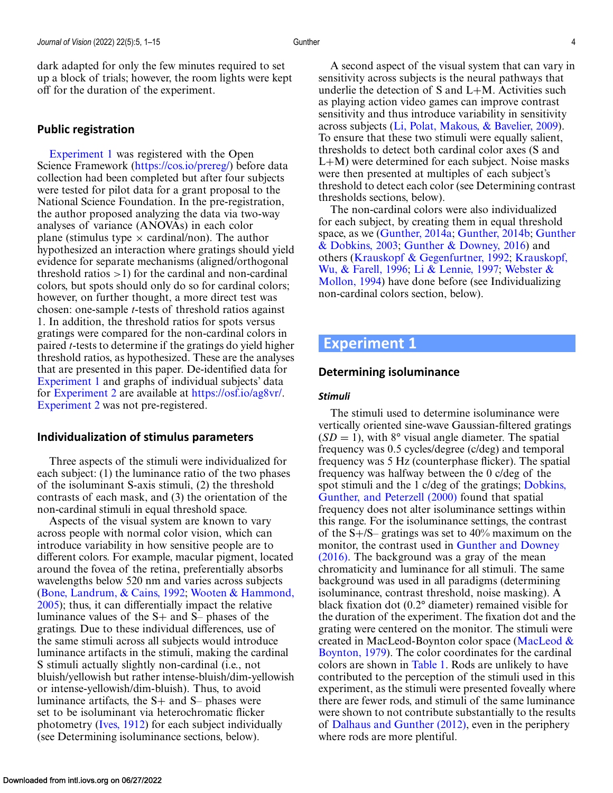## <span id="page-3-0"></span>**Public registration**

Experiment 1 was registered with the Open Science Framework [\(https://cos.io/prereg/\)](https://cos.io/prereg/) before data collection had been completed but after four subjects were tested for pilot data for a grant proposal to the National Science Foundation. In the pre-registration, the author proposed analyzing the data via two-way analyses of variance (ANOVAs) in each color plane (stimulus type  $\times$  cardinal/non). The author hypothesized an interaction where gratings should yield evidence for separate mechanisms (aligned/orthogonal threshold ratios  $>1$ ) for the cardinal and non-cardinal colors, but spots should only do so for cardinal colors; however, on further thought, a more direct test was chosen: one-sample *t*-tests of threshold ratios against 1. In addition, the threshold ratios for spots versus gratings were compared for the non-cardinal colors in paired *t*-tests to determine if the gratings do yield higher threshold ratios, as hypothesized. These are the analyses that are presented in this paper. De-identified data for Experiment 1 and graphs of individual subjects' data for [Experiment 2](#page-5-0) are available at [https://osf.io/ag8vr/.](https://osf.io/ag8vr/) [Experiment 2](#page-5-0) was not pre-registered.

### **Individualization of stimulus parameters**

Three aspects of the stimuli were individualized for each subject: (1) the luminance ratio of the two phases of the isoluminant S-axis stimuli, (2) the threshold contrasts of each mask, and (3) the orientation of the non-cardinal stimuli in equal threshold space.

Aspects of the visual system are known to vary across people with normal color vision, which can introduce variability in how sensitive people are to different colors. For example, macular pigment, located around the fovea of the retina, preferentially absorbs wavelengths below 520 nm and varies across subjects [\(Bone, Landrum, & Cains, 1992;](#page-9-0) Wooten & Hammond, [2005\); thus, it can differentially impact the relative](#page-11-0) luminance values of the S+ and S– phases of the gratings. Due to these individual differences, use of the same stimuli across all subjects would introduce luminance artifacts in the stimuli, making the cardinal S stimuli actually slightly non-cardinal (i.e., not bluish/yellowish but rather intense-bluish/dim-yellowish or intense-yellowish/dim-bluish). Thus, to avoid luminance artifacts, the S+ and S– phases were set to be isoluminant via heterochromatic flicker photometry [\(Ives, 1912\)](#page-10-0) for each subject individually (see Determining isoluminance sections, below).

A second aspect of the visual system that can vary in sensitivity across subjects is the neural pathways that underlie the detection of  $S$  and  $L+M$ . Activities such as playing action video games can improve contrast sensitivity and thus introduce variability in sensitivity across subjects [\(Li, Polat, Makous, & Bavelier, 2009\)](#page-10-0). To ensure that these two stimuli were equally salient, thresholds to detect both cardinal color axes (S and L+M) were determined for each subject. Noise masks were then presented at multiples of each subject's threshold to detect each color (see Determining contrast thresholds sections, below).

The non-cardinal colors were also individualized for each subject, by creating them in equal threshold space, as we [\(Gunther, 2014a;](#page-10-0) [Gunther, 2014b;](#page-10-0) Gunther & Dobkins, 2003; [Gunther & Downey, 2016\) and](#page-10-0) [others \(Krauskopf & Gegenfurtner, 1992;](#page-10-0) Krauskopf, Wu, & Farell, 1996; [Li & Lennie, 1997;](#page-10-0) Webster & [Mollon, 1994\) have done before \(see Individualizing](#page-11-0) non-cardinal colors section, below).

# **Experiment 1**

### **Determining isoluminance**

#### *Stimuli*

The stimuli used to determine isoluminance were vertically oriented sine-wave Gaussian-filtered gratings  $(SD = 1)$ , with 8° visual angle diameter. The spatial frequency was 0.5 cycles/degree (c/deg) and temporal frequency was 5 Hz (counterphase flicker). The spatial frequency was halfway between the 0 c/deg of the [spot stimuli and the 1 c/deg of the gratings;](#page-9-0) Dobkins, Gunther, and Peterzell (2000) found that spatial frequency does not alter isoluminance settings within this range. For the isoluminance settings, the contrast of the  $S + / S$ – gratings was set to 40% maximum on the monitor, the contrast used in Gunther and Downey [\(2016\). The background was a gray of the mean](#page-10-0) chromaticity and luminance for all stimuli. The same background was used in all paradigms (determining isoluminance, contrast threshold, noise masking). A black fixation dot (0.2° diameter) remained visible for the duration of the experiment. The fixation dot and the grating were centered on the monitor. The stimuli were [created in MacLeod-Boynton color space \(MacLeod &](#page-10-0) Boynton, 1979). The color coordinates for the cardinal colors are shown in [Table 1.](#page-4-0) Rods are unlikely to have contributed to the perception of the stimuli used in this experiment, as the stimuli were presented foveally where there are fewer rods, and stimuli of the same luminance were shown to not contribute substantially to the results of [Dalhaus and Gunther \(2012\),](#page-9-0) even in the periphery where rods are more plentiful.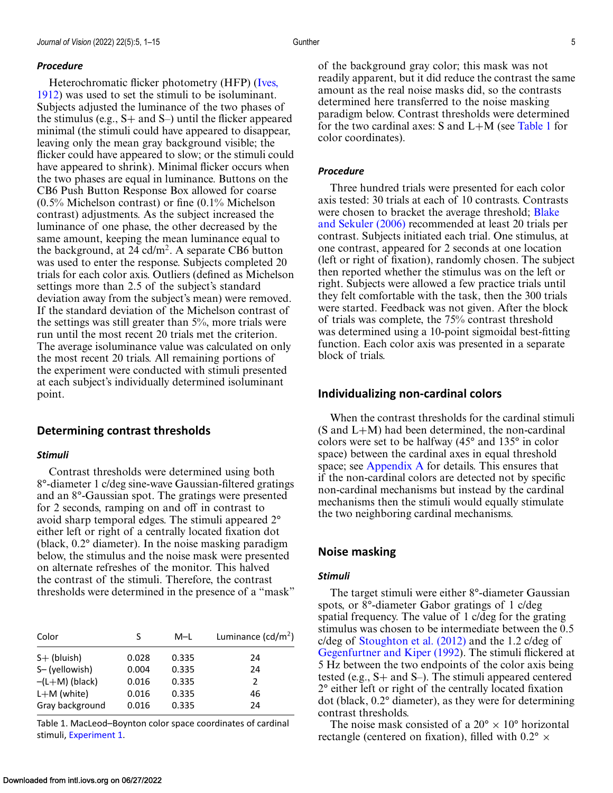#### <span id="page-4-0"></span>*Procedure*

Heterochromatic flicker photometry (HFP) (Ives, [1912\) was used to set the stimuli to be isoluminant.](#page-10-0) Subjects adjusted the luminance of the two phases of the stimulus (e.g.,  $S+$  and  $S-$ ) until the flicker appeared minimal (the stimuli could have appeared to disappear, leaving only the mean gray background visible; the flicker could have appeared to slow; or the stimuli could have appeared to shrink). Minimal flicker occurs when the two phases are equal in luminance. Buttons on the CB6 Push Button Response Box allowed for coarse (0.5% Michelson contrast) or fine (0.1% Michelson contrast) adjustments. As the subject increased the luminance of one phase, the other decreased by the same amount, keeping the mean luminance equal to the background, at 24 cd/m<sup>2</sup>. A separate CB6 button was used to enter the response. Subjects completed 20 trials for each color axis. Outliers (defined as Michelson settings more than 2.5 of the subject's standard deviation away from the subject's mean) were removed. If the standard deviation of the Michelson contrast of the settings was still greater than 5%, more trials were run until the most recent 20 trials met the criterion. The average isoluminance value was calculated on only the most recent 20 trials. All remaining portions of the experiment were conducted with stimuli presented at each subject's individually determined isoluminant point.

#### **Determining contrast thresholds**

#### *Stimuli*

Contrast thresholds were determined using both 8°-diameter 1 c/deg sine-wave Gaussian-filtered gratings and an 8°-Gaussian spot. The gratings were presented for 2 seconds, ramping on and off in contrast to avoid sharp temporal edges. The stimuli appeared 2° either left or right of a centrally located fixation dot (black, 0.2° diameter). In the noise masking paradigm below, the stimulus and the noise mask were presented on alternate refreshes of the monitor. This halved the contrast of the stimuli. Therefore, the contrast thresholds were determined in the presence of a "mask"

| Color            | S     | M-L   | Luminance $(cd/m^2)$ |  |  |
|------------------|-------|-------|----------------------|--|--|
| $S+$ (bluish)    | 0.028 | 0.335 | 24                   |  |  |
| S-(yellowish)    | 0.004 | 0.335 | 24                   |  |  |
| $-(L+M)$ (black) | 0.016 | 0.335 | 2                    |  |  |
| $L+M$ (white)    | 0.016 | 0.335 | 46                   |  |  |
| Gray background  | 0.016 | 0.335 | 24                   |  |  |

Table 1. MacLeod–Boynton color space coordinates of cardinal stimuli, [Experiment 1.](#page-3-0)

of the background gray color; this mask was not readily apparent, but it did reduce the contrast the same amount as the real noise masks did, so the contrasts determined here transferred to the noise masking paradigm below. Contrast thresholds were determined for the two cardinal axes:  $S$  and  $L+M$  (see Table 1 for color coordinates).

#### *Procedure*

Three hundred trials were presented for each color axis tested: 30 trials at each of 10 contrasts. Contrasts [were chosen to bracket the average threshold;](#page-9-0) Blake and Sekuler (2006) recommended at least 20 trials per contrast. Subjects initiated each trial. One stimulus, at one contrast, appeared for 2 seconds at one location (left or right of fixation), randomly chosen. The subject then reported whether the stimulus was on the left or right. Subjects were allowed a few practice trials until they felt comfortable with the task, then the 300 trials were started. Feedback was not given. After the block of trials was complete, the 75% contrast threshold was determined using a 10-point sigmoidal best-fitting function. Each color axis was presented in a separate block of trials.

#### **Individualizing non-cardinal colors**

When the contrast thresholds for the cardinal stimuli (S and L+M) had been determined, the non-cardinal colors were set to be halfway (45° and 135° in color space) between the cardinal axes in equal threshold space; see [Appendix A](#page-11-0) for details. This ensures that if the non-cardinal colors are detected not by specific non-cardinal mechanisms but instead by the cardinal mechanisms then the stimuli would equally stimulate the two neighboring cardinal mechanisms.

#### **Noise masking**

#### *Stimuli*

The target stimuli were either 8°-diameter Gaussian spots, or 8°-diameter Gabor gratings of 1 c/deg spatial frequency. The value of 1 c/deg for the grating stimulus was chosen to be intermediate between the 0.5 c/deg of [Stoughton et al. \(2012\)](#page-10-0) and the 1.2 c/deg of [Gegenfurtner and Kiper \(1992\)](#page-10-0). The stimuli flickered at 5 Hz between the two endpoints of the color axis being tested (e.g., S+ and S–). The stimuli appeared centered 2° either left or right of the centrally located fixation dot (black, 0.2° diameter), as they were for determining contrast thresholds.

The noise mask consisted of a  $20^{\circ} \times 10^{\circ}$  horizontal rectangle (centered on fixation), filled with  $0.2^{\circ} \times$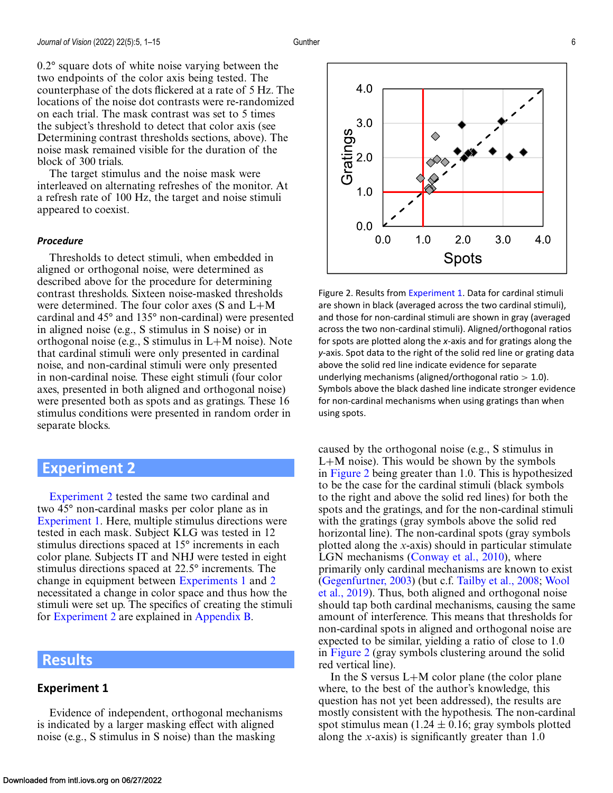<span id="page-5-0"></span>0.2° square dots of white noise varying between the two endpoints of the color axis being tested. The counterphase of the dots flickered at a rate of 5 Hz. The locations of the noise dot contrasts were re-randomized on each trial. The mask contrast was set to 5 times the subject's threshold to detect that color axis (see Determining contrast thresholds sections, above). The noise mask remained visible for the duration of the block of 300 trials.

The target stimulus and the noise mask were interleaved on alternating refreshes of the monitor. At a refresh rate of 100 Hz, the target and noise stimuli appeared to coexist.

#### *Procedure*

Thresholds to detect stimuli, when embedded in aligned or orthogonal noise, were determined as described above for the procedure for determining contrast thresholds. Sixteen noise-masked thresholds were determined. The four color axes (S and L+M cardinal and 45° and 135° non-cardinal) were presented in aligned noise (e.g., S stimulus in S noise) or in orthogonal noise (e.g., S stimulus in L+M noise). Note that cardinal stimuli were only presented in cardinal noise, and non-cardinal stimuli were only presented in non-cardinal noise. These eight stimuli (four color axes, presented in both aligned and orthogonal noise) were presented both as spots and as gratings. These 16 stimulus conditions were presented in random order in separate blocks.

# **Experiment 2**

Experiment 2 tested the same two cardinal and two 45° non-cardinal masks per color plane as in [Experiment 1.](#page-3-0) Here, multiple stimulus directions were tested in each mask. Subject KLG was tested in 12 stimulus directions spaced at 15° increments in each color plane. Subjects IT and NHJ were tested in eight stimulus directions spaced at 22.5° increments. The change in equipment between [Experiments 1](#page-3-0) and 2 necessitated a change in color space and thus how the stimuli were set up. The specifics of creating the stimuli for Experiment 2 are explained in [Appendix B.](#page-11-0)

# **Results**

#### **Experiment 1**

Evidence of independent, orthogonal mechanisms is indicated by a larger masking effect with aligned noise (e.g., S stimulus in S noise) than the masking



Figure 2. Results from [Experiment 1.](#page-3-0) Data for cardinal stimuli are shown in black (averaged across the two cardinal stimuli), and those for non-cardinal stimuli are shown in gray (averaged across the two non-cardinal stimuli). Aligned/orthogonal ratios for spots are plotted along the *x*-axis and for gratings along the *y*-axis. Spot data to the right of the solid red line or grating data above the solid red line indicate evidence for separate underlying mechanisms (aligned/orthogonal ratio  $> 1.0$ ). Symbols above the black dashed line indicate stronger evidence for non-cardinal mechanisms when using gratings than when using spots.

caused by the orthogonal noise (e.g., S stimulus in L+M noise). This would be shown by the symbols in Figure 2 being greater than 1.0. This is hypothesized to be the case for the cardinal stimuli (black symbols to the right and above the solid red lines) for both the spots and the gratings, and for the non-cardinal stimuli with the gratings (gray symbols above the solid red horizontal line). The non-cardinal spots (gray symbols plotted along the *x*-axis) should in particular stimulate LGN mechanisms [\(Conway et al., 2010\)](#page-9-0), where primarily only cardinal mechanisms are known to exist [\(Gegenfurtner, 2003\)](#page-10-0) (but c.f. [Tailby et al., 2008;](#page-10-0) Wool [et al., 2019\). Thus, both aligned and orthogonal noise](#page-11-0) should tap both cardinal mechanisms, causing the same amount of interference. This means that thresholds for non-cardinal spots in aligned and orthogonal noise are expected to be similar, yielding a ratio of close to 1.0 in Figure 2 (gray symbols clustering around the solid red vertical line).

In the S versus  $L+M$  color plane (the color plane where, to the best of the author's knowledge, this question has not yet been addressed), the results are mostly consistent with the hypothesis. The non-cardinal spot stimulus mean  $(1.24 \pm 0.16)$ ; gray symbols plotted along the *x*-axis) is significantly greater than 1.0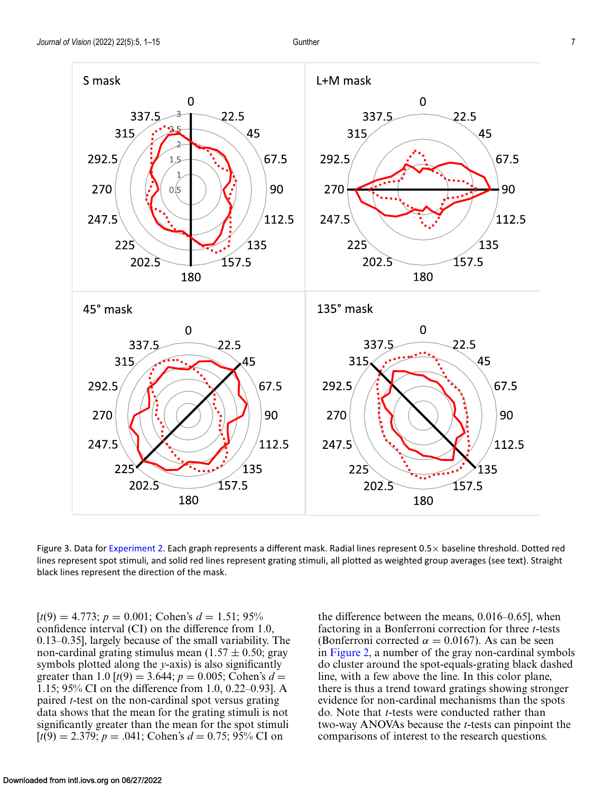<span id="page-6-0"></span>

Figure 3. Data for [Experiment 2.](#page-5-0) Each graph represents a different mask. Radial lines represent  $0.5\times$  baseline threshold. Dotted red lines represent spot stimuli, and solid red lines represent grating stimuli, all plotted as weighted group averages (see text). Straight black lines represent the direction of the mask.

 $[t(9) = 4.773; p = 0.001; \text{ Cohen's } d = 1.51; 95\%$ confidence interval (CI) on the difference from 1.0, 0.13–0.35], largely because of the small variability. The non-cardinal grating stimulus mean  $(1.57 \pm 0.50; \text{gray})$ symbols plotted along the *y*-axis) is also significantly greater than 1.0  $[t(9) = 3.644; p = 0.005; \text{Cohen's } d =$ 1.15; 95% CI on the difference from 1.0, 0.22–0.93]. A paired *t*-test on the non-cardinal spot versus grating data shows that the mean for the grating stimuli is not significantly greater than the mean for the spot stimuli  $[t(9) = 2.379; p = .041; \text{ Cohen's } d = 0.75; 95\% \text{ CI on}$ 

the difference between the means, 0.016–0.65], when factoring in a Bonferroni correction for three *t*-tests (Bonferroni corrected  $\alpha = 0.0167$ ). As can be seen in [Figure 2,](#page-5-0) a number of the gray non-cardinal symbols do cluster around the spot-equals-grating black dashed line, with a few above the line. In this color plane, there is thus a trend toward gratings showing stronger evidence for non-cardinal mechanisms than the spots do. Note that *t*-tests were conducted rather than two-way ANOVAs because the *t*-tests can pinpoint the comparisons of interest to the research questions.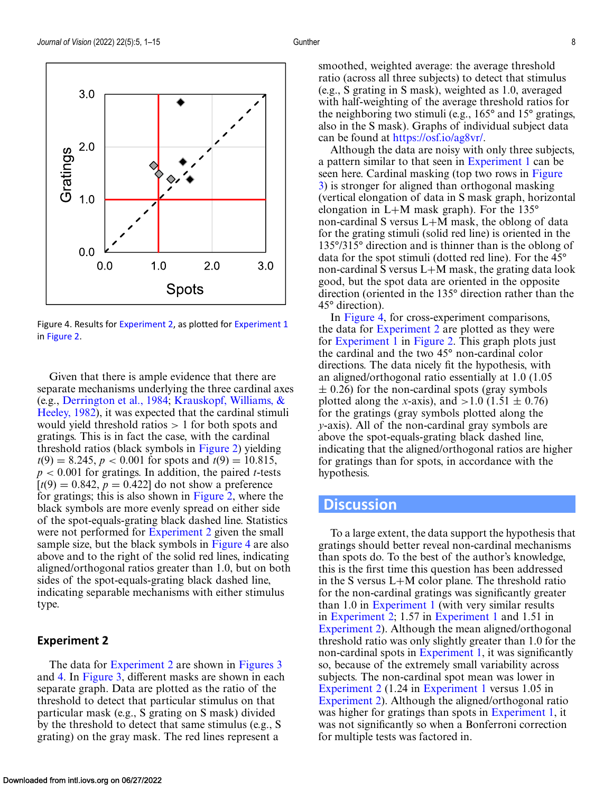

Figure 4. Results for [Experiment 2,](#page-5-0) as plotted for [Experiment 1](#page-3-0) in [Figure 2.](#page-5-0)

Given that there is ample evidence that there are separate mechanisms underlying the three cardinal axes (e.g., [Derrington et al., 1984;](#page-9-0) Krauskopf, Williams, & [Heeley, 1982\), it was expected that the cardinal stimuli](#page-10-0) would yield threshold ratios  $> 1$  for both spots and gratings. This is in fact the case, with the cardinal threshold ratios (black symbols in [Figure 2\)](#page-5-0) yielding  $t(9) = 8.245$ ,  $p < 0.001$  for spots and  $t(9) = 10.815$ , *p* < 0.001 for gratings. In addition, the paired *t*-tests  $[t(9) = 0.842, p = 0.422]$  do not show a preference for gratings; this is also shown in [Figure 2,](#page-5-0) where the black symbols are more evenly spread on either side of the spot-equals-grating black dashed line. Statistics were not performed for [Experiment 2](#page-5-0) given the small sample size, but the black symbols in Figure 4 are also above and to the right of the solid red lines, indicating aligned/orthogonal ratios greater than 1.0, but on both sides of the spot-equals-grating black dashed line, indicating separable mechanisms with either stimulus type.

#### **Experiment 2**

The data for [Experiment 2](#page-5-0) are shown in [Figures 3](#page-6-0) and 4. In [Figure 3,](#page-6-0) different masks are shown in each separate graph. Data are plotted as the ratio of the threshold to detect that particular stimulus on that particular mask (e.g., S grating on S mask) divided by the threshold to detect that same stimulus (e.g., S grating) on the gray mask. The red lines represent a

smoothed, weighted average: the average threshold ratio (across all three subjects) to detect that stimulus (e.g., S grating in S mask), weighted as 1.0, averaged with half-weighting of the average threshold ratios for the neighboring two stimuli (e.g., 165° and 15° gratings, also in the S mask). Graphs of individual subject data can be found at [https://osf.io/ag8vr/.](https://osf.io/ag8vr/)

Although the data are noisy with only three subjects, a pattern similar to that seen in [Experiment 1](#page-3-0) can be seen here. Cardinal masking (top two rows in Figure [3\) is stronger for aligned than orthogonal masking](#page-6-0) (vertical elongation of data in S mask graph, horizontal elongation in L+M mask graph). For the 135° non-cardinal S versus L+M mask, the oblong of data for the grating stimuli (solid red line) is oriented in the 135°/315° direction and is thinner than is the oblong of data for the spot stimuli (dotted red line). For the 45° non-cardinal S versus L+M mask, the grating data look good, but the spot data are oriented in the opposite direction (oriented in the 135° direction rather than the 45° direction).

In Figure 4, for cross-experiment comparisons, the data for [Experiment 2](#page-5-0) are plotted as they were for [Experiment 1](#page-3-0) in [Figure 2.](#page-5-0) This graph plots just the cardinal and the two 45° non-cardinal color directions. The data nicely fit the hypothesis, with an aligned/orthogonal ratio essentially at 1.0 (1.05  $\pm$  0.26) for the non-cardinal spots (gray symbols plotted along the *x*-axis), and  $>1.0$  (1.51  $\pm$  0.76) for the gratings (gray symbols plotted along the *y*-axis). All of the non-cardinal gray symbols are above the spot-equals-grating black dashed line, indicating that the aligned/orthogonal ratios are higher for gratings than for spots, in accordance with the hypothesis.

# **Discussion**

To a large extent, the data support the hypothesis that gratings should better reveal non-cardinal mechanisms than spots do. To the best of the author's knowledge, this is the first time this question has been addressed in the S versus L+M color plane. The threshold ratio for the non-cardinal gratings was significantly greater than 1.0 in [Experiment 1](#page-3-0) (with very similar results in [Experiment 2;](#page-5-0) 1.57 in [Experiment 1](#page-3-0) and 1.51 in [Experiment 2\)](#page-5-0). Although the mean aligned/orthogonal threshold ratio was only slightly greater than 1.0 for the non-cardinal spots in [Experiment 1,](#page-3-0) it was significantly so, because of the extremely small variability across subjects. The non-cardinal spot mean was lower in [Experiment 2](#page-5-0) (1.24 in [Experiment 1](#page-3-0) versus 1.05 in [Experiment 2\)](#page-5-0). Although the aligned/orthogonal ratio was higher for gratings than spots in [Experiment 1,](#page-3-0) it was not significantly so when a Bonferroni correction for multiple tests was factored in.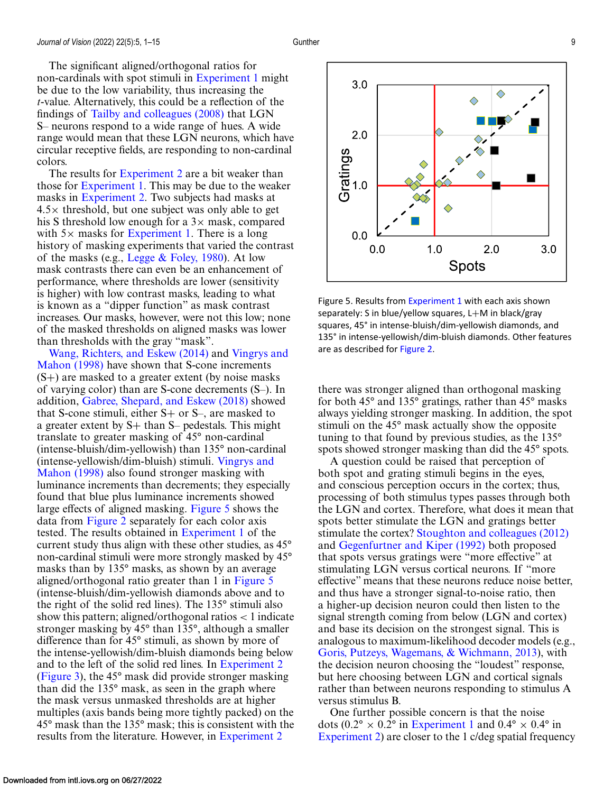The significant aligned/orthogonal ratios for non-cardinals with spot stimuli in [Experiment 1](#page-3-0) might be due to the low variability, thus increasing the *t*-value. Alternatively, this could be a reflection of the findings of [Tailby and colleagues \(2008\)](#page-10-0) that LGN S– neurons respond to a wide range of hues. A wide range would mean that these LGN neurons, which have circular receptive fields, are responding to non-cardinal colors.

The results for [Experiment 2](#page-5-0) are a bit weaker than those for [Experiment 1.](#page-3-0) This may be due to the weaker masks in [Experiment 2.](#page-5-0) Two subjects had masks at  $4.5\times$  threshold, but one subject was only able to get his S threshold low enough for a  $3\times$  mask, compared with  $5\times$  masks for [Experiment 1.](#page-3-0) There is a long history of masking experiments that varied the contrast of the masks (e.g., Legge  $& \text{Foley}, 1980$ ). At low mask contrasts there can even be an enhancement of performance, where thresholds are lower (sensitivity is higher) with low contrast masks, leading to what is known as a "dipper function" as mask contrast increases. Our masks, however, were not this low; none of the masked thresholds on aligned masks was lower than thresholds with the gray "mask".

[Wang, Richters, and Eskew \(2014\)](#page-11-0) and Vingrys and Mahon (1998) [have shown that S-cone increments](#page-11-0)  $(S+)$  are masked to a greater extent (by noise masks) of varying color) than are S-cone decrements (S–). In addition, [Gabree, Shepard, and Eskew \(2018\)](#page-9-0) showed that S-cone stimuli, either  $S+$  or  $S-$ , are masked to a greater extent by  $S+$  than  $S-$  pedestals. This might translate to greater masking of 45° non-cardinal (intense-bluish/dim-yellowish) than 135° non-cardinal [\(intense-yellowish/dim-bluish\) stimuli.](#page-11-0) Vingrys and Mahon (1998) also found stronger masking with luminance increments than decrements; they especially found that blue plus luminance increments showed large effects of aligned masking. Figure 5 shows the data from [Figure 2](#page-5-0) separately for each color axis tested. The results obtained in [Experiment 1](#page-3-0) of the current study thus align with these other studies, as 45° non-cardinal stimuli were more strongly masked by 45° masks than by 135° masks, as shown by an average aligned/orthogonal ratio greater than 1 in Figure 5 (intense-bluish/dim-yellowish diamonds above and to the right of the solid red lines). The 135° stimuli also show this pattern; aligned/orthogonal ratios  $\lt$  1 indicate stronger masking by 45° than 135°, although a smaller difference than for 45° stimuli, as shown by more of the intense-yellowish/dim-bluish diamonds being below and to the left of the solid red lines. In [Experiment 2](#page-5-0) [\(Figure 3\)](#page-6-0), the 45° mask did provide stronger masking than did the 135° mask, as seen in the graph where the mask versus unmasked thresholds are at higher multiples (axis bands being more tightly packed) on the 45° mask than the 135° mask; this is consistent with the results from the literature. However, in [Experiment 2](#page-5-0)



Figure 5. Results from [Experiment 1](#page-3-0) with each axis shown separately: S in blue/yellow squares, L+M in black/gray squares, 45° in intense-bluish/dim-yellowish diamonds, and 135° in intense-yellowish/dim-bluish diamonds. Other features are as described for [Figure 2.](#page-5-0)

there was stronger aligned than orthogonal masking for both 45° and 135° gratings, rather than 45° masks always yielding stronger masking. In addition, the spot stimuli on the 45° mask actually show the opposite tuning to that found by previous studies, as the 135° spots showed stronger masking than did the 45° spots.

A question could be raised that perception of both spot and grating stimuli begins in the eyes, and conscious perception occurs in the cortex; thus, processing of both stimulus types passes through both the LGN and cortex. Therefore, what does it mean that spots better stimulate the LGN and gratings better stimulate the cortex? [Stoughton and colleagues \(2012\)](#page-10-0) and [Gegenfurtner and Kiper \(1992\)](#page-10-0) both proposed that spots versus gratings were "more effective" at stimulating LGN versus cortical neurons. If "more effective" means that these neurons reduce noise better, and thus have a stronger signal-to-noise ratio, then a higher-up decision neuron could then listen to the signal strength coming from below (LGN and cortex) and base its decision on the strongest signal. This is analogous to maximum-likelihood decoder models (e.g., [Goris, Putzeys, Wagemans, & Wichmann, 2013\)](#page-10-0), with the decision neuron choosing the "loudest" response, but here choosing between LGN and cortical signals rather than between neurons responding to stimulus A versus stimulus B.

One further possible concern is that the noise dots (0.2° × 0.2° in [Experiment 1](#page-3-0) and 0.4° × 0.4° in [Experiment 2\)](#page-5-0) are closer to the 1 c/deg spatial frequency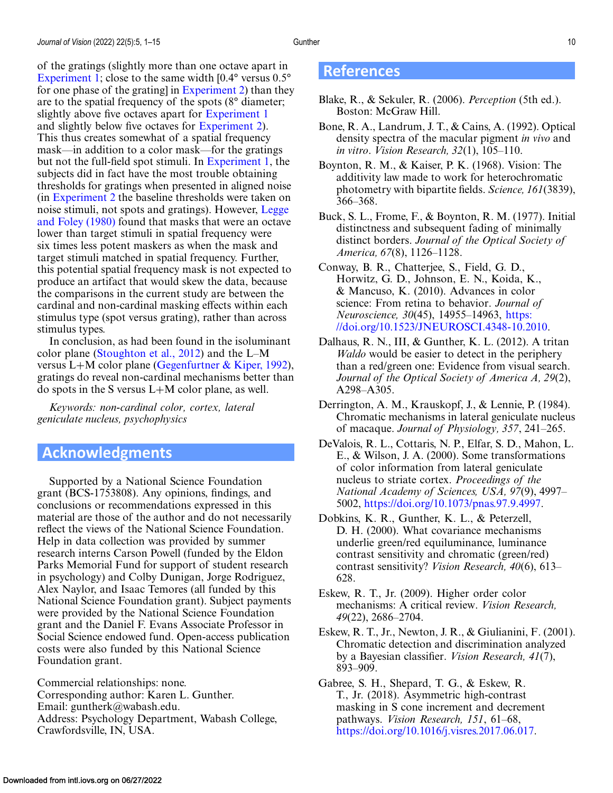<span id="page-9-0"></span>of the gratings (slightly more than one octave apart in [Experiment 1;](#page-3-0) close to the same width  $[0.4^{\circ}$  versus  $0.5^{\circ}$ for one phase of the grating] in [Experiment 2\)](#page-5-0) than they are to the spatial frequency of the spots (8° diameter; slightly above five octaves apart for [Experiment 1](#page-3-0) and slightly below five octaves for [Experiment 2\)](#page-5-0). This thus creates somewhat of a spatial frequency mask—in addition to a color mask—for the gratings but not the full-field spot stimuli. In [Experiment 1,](#page-3-0) the subjects did in fact have the most trouble obtaining thresholds for gratings when presented in aligned noise (in [Experiment 2](#page-5-0) the baseline thresholds were taken on [noise stimuli, not spots and gratings\). However,](#page-10-0) Legge and Foley (1980) found that masks that were an octave lower than target stimuli in spatial frequency were six times less potent maskers as when the mask and target stimuli matched in spatial frequency. Further, this potential spatial frequency mask is not expected to produce an artifact that would skew the data, because the comparisons in the current study are between the cardinal and non-cardinal masking effects within each stimulus type (spot versus grating), rather than across stimulus types.

In conclusion, as had been found in the isoluminant color plane [\(Stoughton et al., 2012\)](#page-10-0) and the L–M versus L+M color plane (Gegenfurtner  $\&$  Kiper, 1992), gratings do reveal non-cardinal mechanisms better than do spots in the S versus L+M color plane, as well.

*Keywords: non-cardinal color, cortex, lateral geniculate nucleus, psychophysics*

# **Acknowledgments**

Supported by a National Science Foundation grant (BCS-1753808). Any opinions, findings, and conclusions or recommendations expressed in this material are those of the author and do not necessarily reflect the views of the National Science Foundation. Help in data collection was provided by summer research interns Carson Powell (funded by the Eldon Parks Memorial Fund for support of student research in psychology) and Colby Dunigan, Jorge Rodriguez, Alex Naylor, and Isaac Temores (all funded by this National Science Foundation grant). Subject payments were provided by the National Science Foundation grant and the Daniel F. Evans Associate Professor in Social Science endowed fund. Open-access publication costs were also funded by this National Science Foundation grant.

Commercial relationships: none. Corresponding author: Karen L. Gunther. Email: guntherk@wabash.edu. Address: Psychology Department, Wabash College, Crawfordsville, IN, USA.

# **References**

- Blake, R., & Sekuler, R. (2006). *Perception* (5th ed.). Boston: McGraw Hill.
- Bone, R. A., Landrum, J. T., & Cains, A. (1992). Optical density spectra of the macular pigment *in vivo* and *in vitro*. *Vision Research, 32*(1), 105–110.
- Boynton, R. M., & Kaiser, P. K. (1968). Vision: The additivity law made to work for heterochromatic photometry with bipartite fields. *Science, 161*(3839), 366–368.
- Buck, S. L., Frome, F., & Boynton, R. M. (1977). Initial distinctness and subsequent fading of minimally distinct borders. *Journal of the Optical Society of America, 67*(8), 1126–1128.
- Conway, B. R., Chatterjee, S., Field, G. D., Horwitz, G. D., Johnson, E. N., Koida, K., & Mancuso, K. (2010). Advances in color science: From retina to behavior. *Journal of Neuroscience, 30*(45), 14955–14963, https: [//doi.org/10.1523/JNEUROSCI.4348-10.2010.](https://doi.org/10.1523/JNEUROSCI.4348-10.2010)
- Dalhaus, R. N., III, & Gunther, K. L. (2012). A tritan *Waldo* would be easier to detect in the periphery than a red/green one: Evidence from visual search. *Journal of the Optical Society of America A, 29*(2), A298–A305.
- Derrington, A. M., Krauskopf, J., & Lennie, P. (1984). Chromatic mechanisms in lateral geniculate nucleus of macaque. *Journal of Physiology, 357*, 241–265.
- DeValois, R. L., Cottaris, N. P., Elfar, S. D., Mahon, L. E., & Wilson, J. A. (2000). Some transformations of color information from lateral geniculate nucleus to striate cortex. *Proceedings of the National Academy of Sciences, USA, 97*(9), 4997– 5002, [https://doi.org/10.1073/pnas.97.9.4997.](https://doi.org/10.1073/pnas.97.9.4997)
- Dobkins, K. R., Gunther, K. L., & Peterzell, D. H. (2000). What covariance mechanisms underlie green/red equiluminance, luminance contrast sensitivity and chromatic (green/red) contrast sensitivity? *Vision Research, 40*(6), 613– 628.
- Eskew, R. T., Jr. (2009). Higher order color mechanisms: A critical review. *Vision Research, 49*(22), 2686–2704.
- Eskew, R. T., Jr., Newton, J. R., & Giulianini, F. (2001). Chromatic detection and discrimination analyzed by a Bayesian classifier. *Vision Research, 41*(7), 893–909.

Gabree, S. H., Shepard, T. G., & Eskew, R. T., Jr. (2018). Asymmetric high-contrast masking in S cone increment and decrement pathways. *Vision Research, 151*, 61–68, [https://doi.org/10.1016/j.visres.2017.06.017.](https://doi.org/10.1016/j.visres.2017.06.017)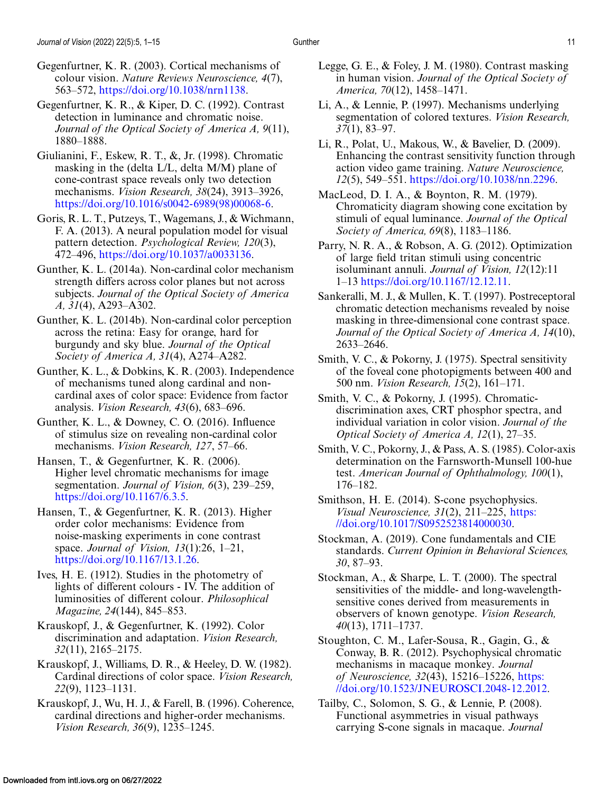<span id="page-10-0"></span>Gegenfurtner, K. R., & Kiper, D. C. (1992). Contrast detection in luminance and chromatic noise. *Journal of the Optical Society of America A, 9*(11), 1880–1888.

- Giulianini, F., Eskew, R. T., &, Jr. (1998). Chromatic masking in the (delta L/L, delta M/M) plane of cone-contrast space reveals only two detection mechanisms. *Vision Research, 38*(24), 3913–3926, [https://doi.org/10.1016/s0042-6989\(98\)00068-6.](https://doi.org/10.1016/s0042-6989(98)00068-6)
- Goris, R. L. T., Putzeys, T., Wagemans, J., & Wichmann, F. A. (2013). A neural population model for visual pattern detection. *Psychological Review, 120*(3), 472–496, [https://doi.org/10.1037/a0033136.](https://doi.org/10.1037/a0033136)
- Gunther, K. L. (2014a). Non-cardinal color mechanism strength differs across color planes but not across subjects. *Journal of the Optical Society of America A, 31*(4), A293–A302.
- Gunther, K. L. (2014b). Non-cardinal color perception across the retina: Easy for orange, hard for burgundy and sky blue. *Journal of the Optical Society of America A, 31*(4), A274–A282.
- Gunther, K. L., & Dobkins, K. R. (2003). Independence of mechanisms tuned along cardinal and noncardinal axes of color space: Evidence from factor analysis. *Vision Research, 43*(6), 683–696.
- Gunther, K. L., & Downey, C. O. (2016). Influence of stimulus size on revealing non-cardinal color mechanisms. *Vision Research, 127*, 57–66.
- Hansen, T., & Gegenfurtner, K. R. (2006). Higher level chromatic mechanisms for image segmentation. *Journal of Vision, 6*(3), 239–259, [https://doi.org/10.1167/6.3.5.](https://doi.org/10.1167/6.3.5)
- Hansen, T., & Gegenfurtner, K. R. (2013). Higher order color mechanisms: Evidence from noise-masking experiments in cone contrast space. *Journal of Vision, 13*(1):26, 1–21, [https://doi.org/10.1167/13.1.26.](https://doi.org/10.1167/13.1.26)
- Ives, H. E. (1912). Studies in the photometry of lights of different colours - IV. The addition of luminosities of different colour. *Philosophical Magazine, 24*(144), 845–853.
- Krauskopf, J., & Gegenfurtner, K. (1992). Color discrimination and adaptation. *Vision Research, 32*(11), 2165–2175.
- Krauskopf, J., Williams, D. R., & Heeley, D. W. (1982). Cardinal directions of color space. *Vision Research, 22*(9), 1123–1131.
- Krauskopf, J., Wu, H. J., & Farell, B. (1996). Coherence, cardinal directions and higher-order mechanisms. *Vision Research, 36*(9), 1235–1245.
- Legge, G. E., & Foley, J. M. (1980). Contrast masking in human vision. *Journal of the Optical Society of America, 70*(12), 1458–1471.
- Li, A., & Lennie, P. (1997). Mechanisms underlying segmentation of colored textures. *Vision Research, 37*(1), 83–97.
- Li, R., Polat, U., Makous, W., & Bavelier, D. (2009). Enhancing the contrast sensitivity function through action video game training. *Nature Neuroscience, 12*(5), 549–551. [https://doi.org/10.1038/nn.2296.](https://doi.org/10.1038/nn.2296)
- MacLeod, D. I. A., & Boynton, R. M. (1979). Chromaticity diagram showing cone excitation by stimuli of equal luminance. *Journal of the Optical Society of America, 69*(8), 1183–1186.
- Parry, N. R. A., & Robson, A. G. (2012). Optimization of large field tritan stimuli using concentric isoluminant annuli. *Journal of Vision, 12*(12):11 1–13 [https://doi.org/10.1167/12.12.11.](https://doi.org/10.1167/12.12.11)
- Sankeralli, M. J., & Mullen, K. T. (1997). Postreceptoral chromatic detection mechanisms revealed by noise masking in three-dimensional cone contrast space. *Journal of the Optical Society of America A, 14*(10), 2633–2646.
- Smith, V. C., & Pokorny, J. (1975). Spectral sensitivity of the foveal cone photopigments between 400 and 500 nm. *Vision Research, 15*(2), 161–171.
- Smith, V. C., & Pokorny, J. (1995). Chromaticdiscrimination axes, CRT phosphor spectra, and individual variation in color vision. *Journal of the Optical Society of America A, 12*(1), 27–35.
- Smith, V. C., Pokorny, J., & Pass, A. S. (1985). Color-axis determination on the Farnsworth-Munsell 100-hue test. *American Journal of Ophthalmology, 100*(1), 176–182.
- Smithson, H. E. (2014). S-cone psychophysics. *Visual Neuroscience, 31*(2), 211–225, https: [//doi.org/10.1017/S0952523814000030.](https://doi.org/10.1017/S0952523814000030)
- Stockman, A. (2019). Cone fundamentals and CIE standards. *Current Opinion in Behavioral Sciences, 30*, 87–93.
- Stockman, A., & Sharpe, L. T. (2000). The spectral sensitivities of the middle- and long-wavelengthsensitive cones derived from measurements in observers of known genotype. *Vision Research, 40*(13), 1711–1737.
- Stoughton, C. M., Lafer-Sousa, R., Gagin, G., & Conway, B. R. (2012). Psychophysical chromatic mechanisms in macaque monkey. *Journal of Neuroscience, 32*(43), 15216–15226, https: [//doi.org/10.1523/JNEUROSCI.2048-12.2012.](https://doi.org/10.1523/JNEUROSCI.2048-12.2012)
- Tailby, C., Solomon, S. G., & Lennie, P. (2008). Functional asymmetries in visual pathways carrying S-cone signals in macaque. *Journal*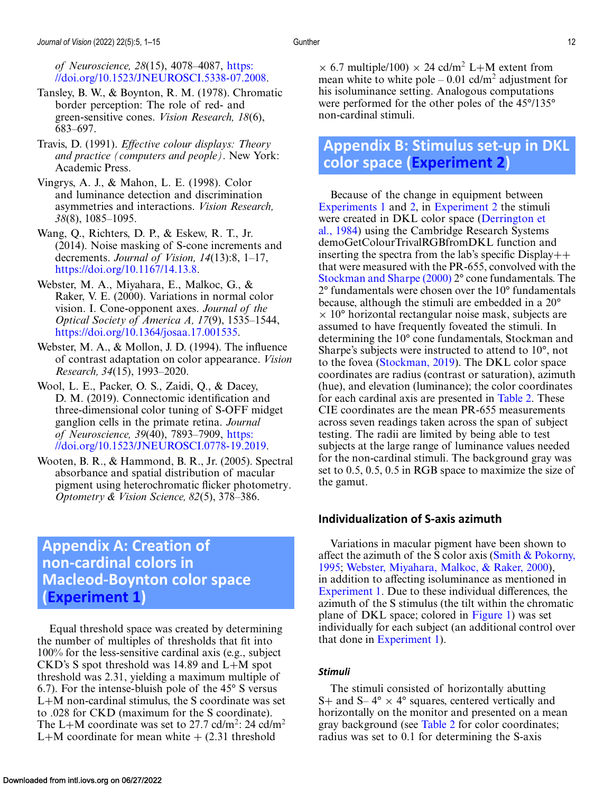<span id="page-11-0"></span>*of Neuroscience, 28*(15), 4078–4087, https: [//doi.org/10.1523/JNEUROSCI.5338-07.2008.](https://doi.org/10.1523/JNEUROSCI.5338-07.2008)

- Tansley, B. W., & Boynton, R. M. (1978). Chromatic border perception: The role of red- and green-sensitive cones. *Vision Research, 18*(6), 683–697.
- Travis, D. (1991). *Effective colour displays: Theory and practice (computers and people)*. New York: Academic Press.
- Vingrys, A. J., & Mahon, L. E. (1998). Color and luminance detection and discrimination asymmetries and interactions. *Vision Research, 38*(8), 1085–1095.
- Wang, Q., Richters, D. P., & Eskew, R. T., Jr. (2014). Noise masking of S-cone increments and decrements. *Journal of Vision, 14*(13):8, 1–17, [https://doi.org/10.1167/14.13.8.](https://doi.org/10.1167/14.13.8)
- Webster, M. A., Miyahara, E., Malkoc, G., & Raker, V. E. (2000). Variations in normal color vision. I. Cone-opponent axes. *Journal of the Optical Society of America A, 17*(9), 1535–1544, [https://doi.org/10.1364/josaa.17.001535.](https://doi.org/10.1364/josaa.17.001535)
- Webster, M. A., & Mollon, J. D. (1994). The influence of contrast adaptation on color appearance. *Vision Research, 34*(15), 1993–2020.
- Wool, L. E., Packer, O. S., Zaidi, Q., & Dacey, D. M. (2019). Connectomic identification and three-dimensional color tuning of S-OFF midget ganglion cells in the primate retina. *Journal of Neuroscience, 39*(40), 7893–7909, https: [//doi.org/10.1523/JNEUROSCI.0778-19.2019.](https://doi.org/10.1523/JNEUROSCI.0778-19.2019)
- Wooten, B. R., & Hammond, B. R., Jr. (2005). Spectral absorbance and spatial distribution of macular pigment using heterochromatic flicker photometry. *Optometry & Vision Science, 82*(5), 378–386.

# **Appendix A: Creation of non-cardinal colors in Macleod-Boynton color space [\(Experiment 1\)](#page-3-0)**

Equal threshold space was created by determining the number of multiples of thresholds that fit into 100% for the less-sensitive cardinal axis (e.g., subject CKD's S spot threshold was 14.89 and L+M spot threshold was 2.31, yielding a maximum multiple of 6.7). For the intense-bluish pole of the 45° S versus L+M non-cardinal stimulus, the S coordinate was set to .028 for CKD (maximum for the S coordinate). The L+M coordinate was set to 27.7 cd/m<sup>2</sup>: 24 cd/m<sup>2</sup> L+M coordinate for mean white  $+$  (2.31 threshold

 $\times$  6.7 multiple/100)  $\times$  24 cd/m<sup>2</sup> L+M extent from mean white to white pole  $-0.01$  cd/m<sup>2</sup> adjustment for his isoluminance setting. Analogous computations were performed for the other poles of the 45°/135° non-cardinal stimuli.

# **Appendix B: Stimulus set-up in DKL color space [\(Experiment 2\)](#page-5-0)**

Because of the change in equipment between [Experiments 1](#page-3-0) and [2,](#page-5-0) in [Experiment 2](#page-5-0) the stimuli were created in DKL color space (Derrington et [al., 1984\) using the Cambridge Research Systems](#page-9-0) demoGetColourTrivalRGBfromDKL function and inserting the spectra from the lab's specific  $Display++$ that were measured with the PR-655, convolved with the [Stockman and Sharpe \(2000\)](#page-10-0) 2° cone fundamentals. The 2° fundamentals were chosen over the 10° fundamentals because, although the stimuli are embedded in a 20°  $\times$  10 $\degree$  horizontal rectangular noise mask, subjects are assumed to have frequently foveated the stimuli. In determining the 10° cone fundamentals, Stockman and Sharpe's subjects were instructed to attend to 10°, not to the fovea [\(Stockman, 2019\)](#page-10-0). The DKL color space coordinates are radius (contrast or saturation), azimuth (hue), and elevation (luminance); the color coordinates for each cardinal axis are presented in [Table 2.](#page-12-0) These CIE coordinates are the mean PR-655 measurements across seven readings taken across the span of subject testing. The radii are limited by being able to test subjects at the large range of luminance values needed for the non-cardinal stimuli. The background gray was set to 0.5, 0.5, 0.5 in RGB space to maximize the size of the gamut.

# **Individualization of S-axis azimuth**

Variations in macular pigment have been shown to affect the azimuth of the S color axis (Smith  $&$  Pokorny, 1995; Webster, Miyahara, Malkoc, & Raker, 2000), in addition to affecting isoluminance as mentioned in [Experiment 1.](#page-3-0) Due to these individual differences, the azimuth of the S stimulus (the tilt within the chromatic plane of DKL space; colored in [Figure 1\)](#page-1-0) was set individually for each subject (an additional control over that done in [Experiment 1\)](#page-3-0).

#### *Stimuli*

The stimuli consisted of horizontally abutting S+ and S–  $4^{\circ} \times 4^{\circ}$  squares, centered vertically and horizontally on the monitor and presented on a mean gray background (see [Table 2](#page-12-0) for color coordinates; radius was set to 0.1 for determining the S-axis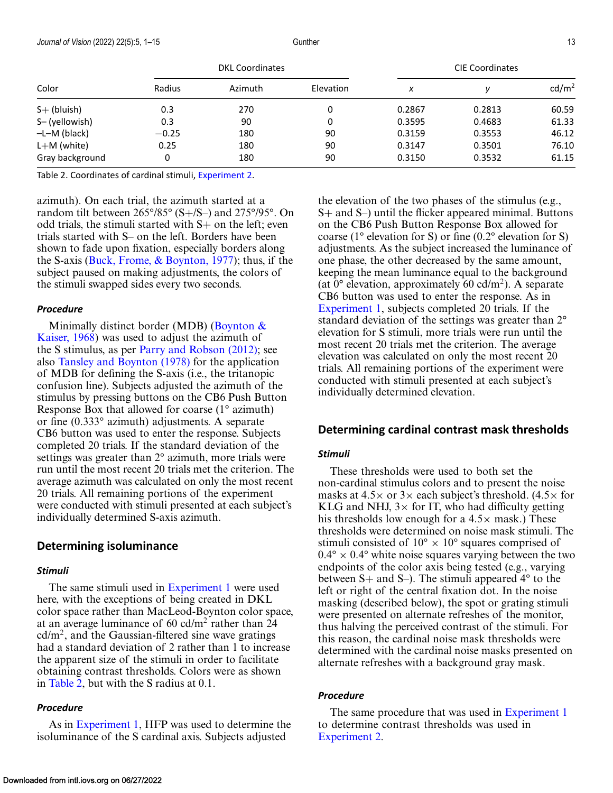<span id="page-12-0"></span>

| Color           | <b>DKL Coordinates</b> |         |           | <b>CIE Coordinates</b> |        |                   |
|-----------------|------------------------|---------|-----------|------------------------|--------|-------------------|
|                 | Radius                 | Azimuth | Elevation | x                      |        | cd/m <sup>2</sup> |
| $S+$ (bluish)   | 0.3                    | 270     | 0         | 0.2867                 | 0.2813 | 60.59             |
| S-(yellowish)   | 0.3                    | 90      | 0         | 0.3595                 | 0.4683 | 61.33             |
| $-L-M$ (black)  | $-0.25$                | 180     | 90        | 0.3159                 | 0.3553 | 46.12             |
| $L+M$ (white)   | 0.25                   | 180     | 90        | 0.3147                 | 0.3501 | 76.10             |
| Gray background | 0                      | 180     | 90        | 0.3150                 | 0.3532 | 61.15             |

Table 2. Coordinates of cardinal stimuli, [Experiment 2.](#page-5-0)

azimuth). On each trial, the azimuth started at a random tilt between 265°/85° (S+/S–) and 275°/95°. On odd trials, the stimuli started with S+ on the left; even trials started with S– on the left. Borders have been shown to fade upon fixation, especially borders along the S-axis (Buck, Frome,  $\&$  Boynton, 1977); thus, if the subject paused on making adjustments, the colors of the stimuli swapped sides every two seconds.

#### *Procedure*

Minimally distinct border (MDB) (Boynton  $\&$ [Kaiser, 1968\) was used to adjust the azimuth of](#page-9-0) the S stimulus, as per [Parry and Robson \(2012\);](#page-10-0) see also [Tansley and Boynton \(1978\)](#page-11-0) for the application of MDB for defining the S-axis (i.e., the tritanopic confusion line). Subjects adjusted the azimuth of the stimulus by pressing buttons on the CB6 Push Button Response Box that allowed for coarse (1° azimuth) or fine (0.333° azimuth) adjustments. A separate CB6 button was used to enter the response. Subjects completed 20 trials. If the standard deviation of the settings was greater than 2° azimuth, more trials were run until the most recent 20 trials met the criterion. The average azimuth was calculated on only the most recent 20 trials. All remaining portions of the experiment were conducted with stimuli presented at each subject's individually determined S-axis azimuth.

#### **Determining isoluminance**

#### *Stimuli*

The same stimuli used in [Experiment 1](#page-3-0) were used here, with the exceptions of being created in DKL color space rather than MacLeod-Boynton color space, at an average luminance of  $60 \text{ cd/m}^2$  rather than 24  $cd/m<sup>2</sup>$ , and the Gaussian-filtered sine wave gratings had a standard deviation of 2 rather than 1 to increase the apparent size of the stimuli in order to facilitate obtaining contrast thresholds. Colors were as shown in Table 2, but with the S radius at 0.1.

#### *Procedure*

As in [Experiment 1,](#page-3-0) HFP was used to determine the isoluminance of the S cardinal axis. Subjects adjusted

the elevation of the two phases of the stimulus (e.g., S+ and S–) until the flicker appeared minimal. Buttons on the CB6 Push Button Response Box allowed for coarse ( $1^{\circ}$  elevation for S) or fine (0.2° elevation for S) adjustments. As the subject increased the luminance of one phase, the other decreased by the same amount, keeping the mean luminance equal to the background (at  $0^{\circ}$  elevation, approximately 60 cd/m<sup>2</sup>). A separate CB6 button was used to enter the response. As in [Experiment 1,](#page-3-0) subjects completed 20 trials. If the standard deviation of the settings was greater than 2° elevation for S stimuli, more trials were run until the most recent 20 trials met the criterion. The average elevation was calculated on only the most recent 20 trials. All remaining portions of the experiment were conducted with stimuli presented at each subject's individually determined elevation.

### **Determining cardinal contrast mask thresholds**

#### *Stimuli*

These thresholds were used to both set the non-cardinal stimulus colors and to present the noise masks at  $4.5\times$  or  $3\times$  each subject's threshold. (4.5 $\times$  for KLG and NHJ,  $3\times$  for IT, who had difficulty getting his thresholds low enough for a  $4.5\times$  mask.) These thresholds were determined on noise mask stimuli. The stimuli consisted of  $10^{\circ} \times 10^{\circ}$  squares comprised of  $0.4^{\circ} \times 0.4^{\circ}$  white noise squares varying between the two endpoints of the color axis being tested (e.g., varying between S+ and S–). The stimuli appeared 4° to the left or right of the central fixation dot. In the noise masking (described below), the spot or grating stimuli were presented on alternate refreshes of the monitor, thus halving the perceived contrast of the stimuli. For this reason, the cardinal noise mask thresholds were determined with the cardinal noise masks presented on alternate refreshes with a background gray mask.

#### *Procedure*

The same procedure that was used in [Experiment 1](#page-3-0) to determine contrast thresholds was used in [Experiment 2.](#page-5-0)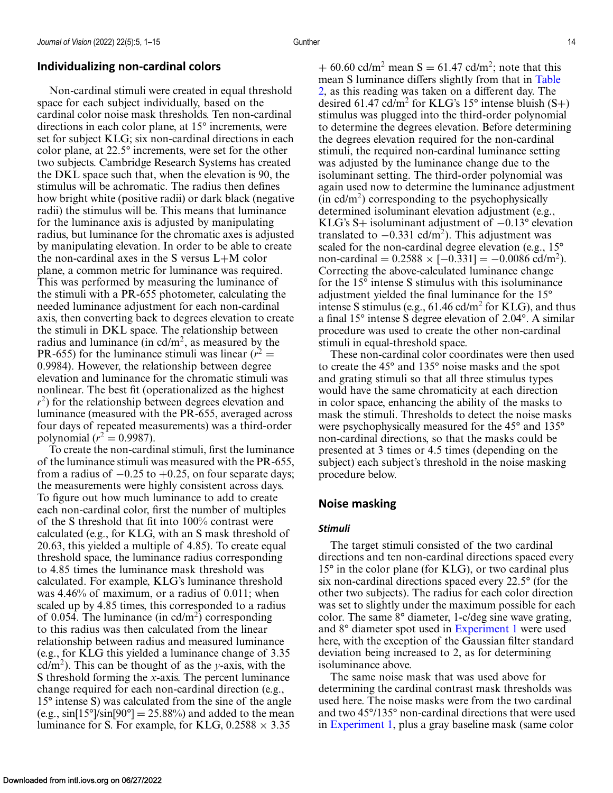# **Individualizing non-cardinal colors**

Non-cardinal stimuli were created in equal threshold space for each subject individually, based on the cardinal color noise mask thresholds. Ten non-cardinal directions in each color plane, at 15° increments, were set for subject KLG; six non-cardinal directions in each color plane, at 22.5° increments, were set for the other two subjects. Cambridge Research Systems has created the DKL space such that, when the elevation is 90, the stimulus will be achromatic. The radius then defines how bright white (positive radii) or dark black (negative radii) the stimulus will be. This means that luminance for the luminance axis is adjusted by manipulating radius, but luminance for the chromatic axes is adjusted by manipulating elevation. In order to be able to create the non-cardinal axes in the S versus L+M color plane, a common metric for luminance was required. This was performed by measuring the luminance of the stimuli with a PR-655 photometer, calculating the needed luminance adjustment for each non-cardinal axis, then converting back to degrees elevation to create the stimuli in DKL space. The relationship between radius and luminance (in  $\text{cd/m}^2$ , as measured by the PR-655) for the luminance stimuli was linear  $(r^2 =$ 0.9984). However, the relationship between degree elevation and luminance for the chromatic stimuli was nonlinear. The best fit (operationalized as the highest *r*<sup>2</sup>) for the relationship between degrees elevation and luminance (measured with the PR-655, averaged across four days of repeated measurements) was a third-order polynomial ( $r^2 = 0.9987$ ).

To create the non-cardinal stimuli, first the luminance of the luminance stimuli was measured with the PR-655, from a radius of  $-0.25$  to  $+0.25$ , on four separate days; the measurements were highly consistent across days. To figure out how much luminance to add to create each non-cardinal color, first the number of multiples of the S threshold that fit into 100% contrast were calculated (e.g., for KLG, with an S mask threshold of 20.63, this yielded a multiple of 4.85). To create equal threshold space, the luminance radius corresponding to 4.85 times the luminance mask threshold was calculated. For example, KLG's luminance threshold was 4.46% of maximum, or a radius of 0.011; when scaled up by 4.85 times, this corresponded to a radius of 0.054. The luminance (in  $\text{cd/m}^2$ ) corresponding to this radius was then calculated from the linear relationship between radius and measured luminance (e.g., for KLG this yielded a luminance change of 3.35 cd/m<sup>2</sup>). This can be thought of as the *y*-axis, with the S threshold forming the *x*-axis. The percent luminance change required for each non-cardinal direction (e.g., 15° intense S) was calculated from the sine of the angle (e.g.,  $\sin[15^\circ]\sin[90^\circ] = 25.88\%$ ) and added to the mean luminance for S. For example, for KLG,  $0.2588 \times 3.35$ 

+ 60.60 cd/m<sup>2</sup> mean S = 61.47 cd/m<sup>2</sup>; note that this mean S luminance differs slightly from that in Table [2, as this reading was taken on a different day. The](#page-12-0) desired 61.47 cd/m<sup>2</sup> for KLG's 15° intense bluish  $(S+)$ stimulus was plugged into the third-order polynomial to determine the degrees elevation. Before determining the degrees elevation required for the non-cardinal stimuli, the required non-cardinal luminance setting was adjusted by the luminance change due to the isoluminant setting. The third-order polynomial was again used now to determine the luminance adjustment  $(in \text{ }cd/m^2)$  corresponding to the psychophysically determined isoluminant elevation adjustment (e.g., KLG's S+ isoluminant adjustment of −0.13° elevation translated to  $-0.331$  cd/m<sup>2</sup>). This adjustment was scaled for the non-cardinal degree elevation (e.g., 15° non-cardinal =  $0.2588 \times [-0.331] = -0.0086$  cd/m<sup>2</sup>). Correcting the above-calculated luminance change for the 15° intense S stimulus with this isoluminance adjustment yielded the final luminance for the 15° intense S stimulus (e.g.,  $61.46$  cd/m<sup>2</sup> for KLG), and thus a final 15° intense S degree elevation of 2.04°. A similar procedure was used to create the other non-cardinal stimuli in equal-threshold space.

These non-cardinal color coordinates were then used to create the 45° and 135° noise masks and the spot and grating stimuli so that all three stimulus types would have the same chromaticity at each direction in color space, enhancing the ability of the masks to mask the stimuli. Thresholds to detect the noise masks were psychophysically measured for the 45° and 135° non-cardinal directions, so that the masks could be presented at 3 times or 4.5 times (depending on the subject) each subject's threshold in the noise masking procedure below.

# **Noise masking**

### *Stimuli*

The target stimuli consisted of the two cardinal directions and ten non-cardinal directions spaced every 15° in the color plane (for KLG), or two cardinal plus six non-cardinal directions spaced every 22.5° (for the other two subjects). The radius for each color direction was set to slightly under the maximum possible for each color. The same 8° diameter, 1-c/deg sine wave grating, and 8° diameter spot used in [Experiment 1](#page-3-0) were used here, with the exception of the Gaussian filter standard deviation being increased to 2, as for determining isoluminance above.

The same noise mask that was used above for determining the cardinal contrast mask thresholds was used here. The noise masks were from the two cardinal and two 45°/135° non-cardinal directions that were used in [Experiment 1,](#page-3-0) plus a gray baseline mask (same color